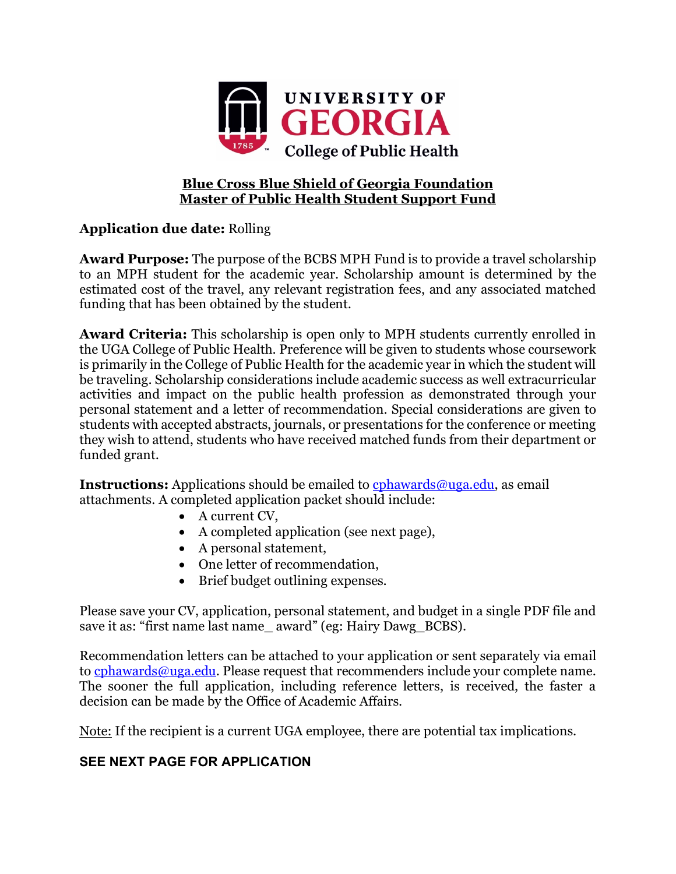

## **Blue Cross Blue Shield of Georgia Foundation Master of Public Health Student Support Fund**

## **Application due date:** Rolling

**Award Purpose:** The purpose of the BCBS MPH Fund is to provide a travel scholarship to an MPH student for the academic year. Scholarship amount is determined by the estimated cost of the travel, any relevant registration fees, and any associated matched funding that has been obtained by the student.

**Award Criteria:** This scholarship is open only to MPH students currently enrolled in the UGA College of Public Health. Preference will be given to students whose coursework is primarily in the College of Public Health for the academic year in which the student will be traveling. Scholarship considerations include academic success as well extracurricular activities and impact on the public health profession as demonstrated through your personal statement and a letter of recommendation. Special considerations are given to students with accepted abstracts, journals, or presentations for the conference or meeting they wish to attend, students who have received matched funds from their department or funded grant.

**Instructions:** Applications should be emailed to cphawards@uga.edu, as email attachments. A completed application packet should include:

- A current CV,
- A completed application (see next page),
- A personal statement,
- One letter of recommendation,
- Brief budget outlining expenses.

Please save your CV, application, personal statement, and budget in a single PDF file and save it as: "first name last name\_award" (eg: Hairy Dawg\_BCBS).

Recommendation letters can be attached to your application or sent separately via email to cphawards@uga.edu. Please request that recommenders include your complete name. The sooner the full application, including reference letters, is received, the faster a decision can be made by the Office of Academic Affairs.

Note: If the recipient is a current UGA employee, there are potential tax implications.

## **SEE NEXT PAGE FOR APPLICATION**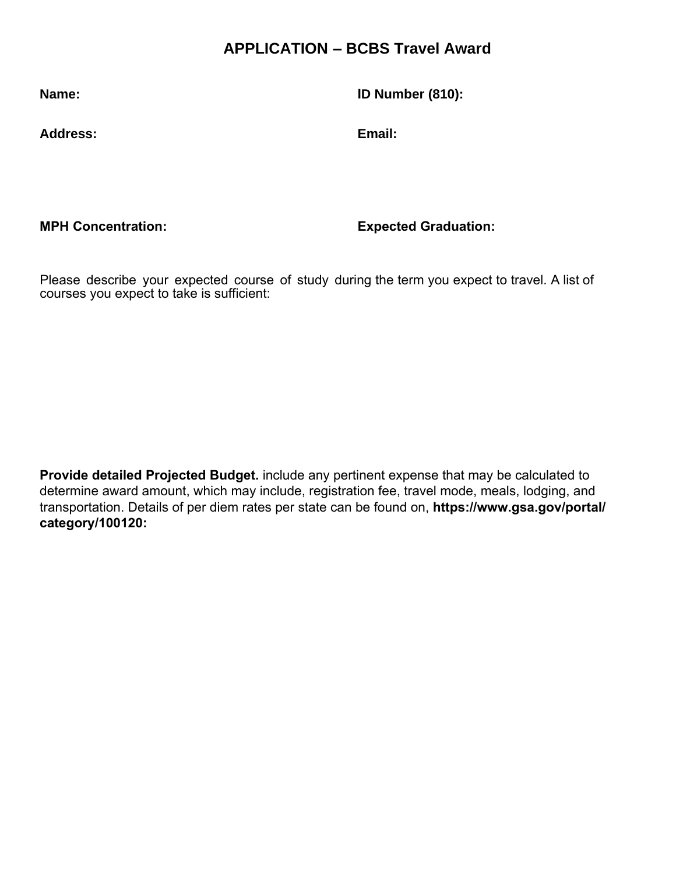## **APPLICATION – BCBS Travel Award**

**Name: ID Number (810):**

**Address: Email:** 

**MPH Concentration: Expected Graduation:**

Please describe your expected course of study during the term you expect to travel. A list of courses you expect to take is sufficient:

**Provide detailed Projected Budget.** include any pertinent expense that may be calculated to determine award amount, which may include, registration fee, travel mode, meals, lodging, and transportation. Details of per diem rates per state can be found on, **[https://www.gsa.gov/portal/](https://www.gsa.gov/portal/category/100120:) [category/100120](https://www.gsa.gov/portal/category/100120:):**